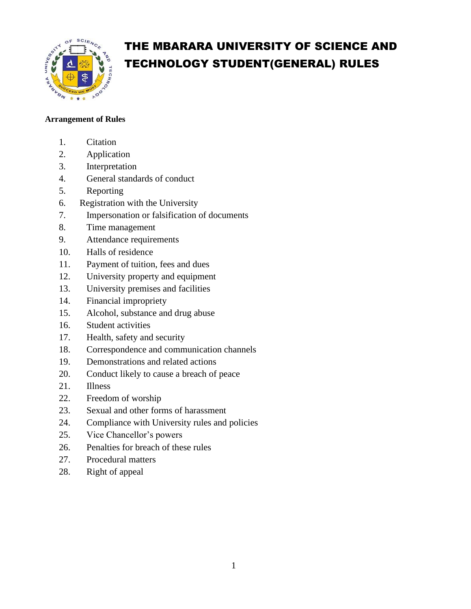

# THE MBARARA UNIVERSITY OF SCIENCE AND TECHNOLOGY STUDENT(GENERAL) RULES

## **Arrangement of Rules**

- 1. Citation
- 2. Application
- 3. Interpretation
- 4. General standards of conduct
- 5. Reporting
- 6. Registration with the University
- 7. Impersonation or falsification of documents
- 8. Time management
- 9. Attendance requirements
- 10. Halls of residence
- 11. Payment of tuition, fees and dues
- 12. University property and equipment
- 13. University premises and facilities
- 14. Financial impropriety
- 15. Alcohol, substance and drug abuse
- 16. Student activities
- 17. Health, safety and security
- 18. Correspondence and communication channels
- 19. Demonstrations and related actions
- 20. Conduct likely to cause a breach of peace
- 21. Illness
- 22. Freedom of worship
- 23. Sexual and other forms of harassment
- 24. Compliance with University rules and policies
- 25. Vice Chancellor's powers
- 26. Penalties for breach of these rules
- 27. Procedural matters
- 28. Right of appeal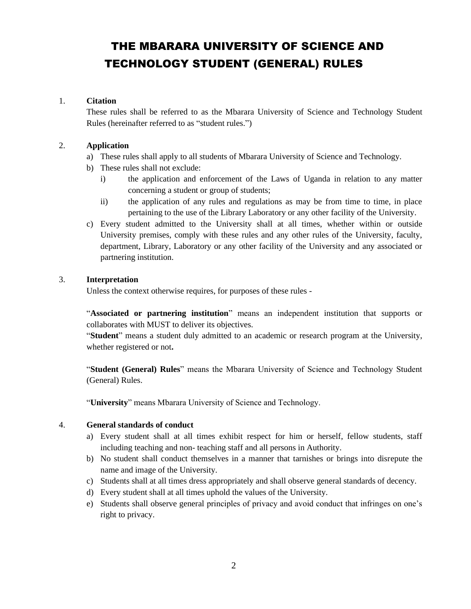# THE MBARARA UNIVERSITY OF SCIENCE AND TECHNOLOGY STUDENT (GENERAL) RULES

#### 1. **Citation**

These rules shall be referred to as the Mbarara University of Science and Technology Student Rules (hereinafter referred to as "student rules.")

#### 2. **Application**

- a) These rules shall apply to all students of Mbarara University of Science and Technology.
- b) These rules shall not exclude:
	- i) the application and enforcement of the Laws of Uganda in relation to any matter concerning a student or group of students;
	- ii) the application of any rules and regulations as may be from time to time, in place pertaining to the use of the Library Laboratory or any other facility of the University.
- c) Every student admitted to the University shall at all times, whether within or outside University premises, comply with these rules and any other rules of the University, faculty, department, Library, Laboratory or any other facility of the University and any associated or partnering institution.

#### 3. **Interpretation**

Unless the context otherwise requires, for purposes of these rules -

"**Associated or partnering institution**" means an independent institution that supports or collaborates with MUST to deliver its objectives.

"**Student**" means a student duly admitted to an academic or research program at the University, whether registered or not**.** 

"**Student (General) Rules**" means the Mbarara University of Science and Technology Student (General) Rules.

"**University**" means Mbarara University of Science and Technology.

#### 4. **General standards of conduct**

- a) Every student shall at all times exhibit respect for him or herself, fellow students, staff including teaching and non- teaching staff and all persons in Authority.
- b) No student shall conduct themselves in a manner that tarnishes or brings into disrepute the name and image of the University.
- c) Students shall at all times dress appropriately and shall observe general standards of decency.
- d) Every student shall at all times uphold the values of the University.
- e) Students shall observe general principles of privacy and avoid conduct that infringes on one's right to privacy.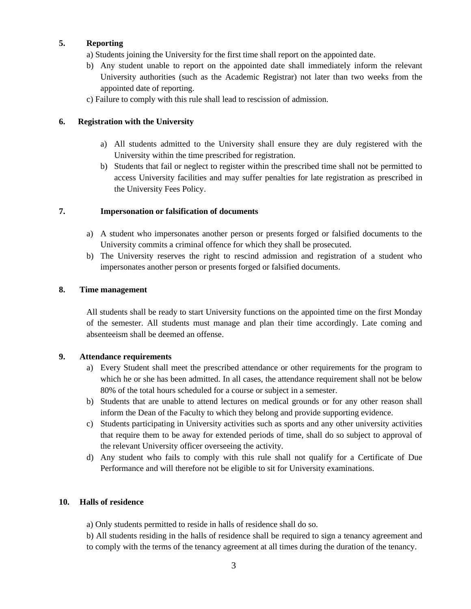#### **5. Reporting**

a) Students joining the University for the first time shall report on the appointed date.

- b) Any student unable to report on the appointed date shall immediately inform the relevant University authorities (such as the Academic Registrar) not later than two weeks from the appointed date of reporting.
- c) Failure to comply with this rule shall lead to rescission of admission.

#### **6. Registration with the University**

- a) All students admitted to the University shall ensure they are duly registered with the University within the time prescribed for registration.
- b) Students that fail or neglect to register within the prescribed time shall not be permitted to access University facilities and may suffer penalties for late registration as prescribed in the University Fees Policy.

#### **7. Impersonation or falsification of documents**

- a) A student who impersonates another person or presents forged or falsified documents to the University commits a criminal offence for which they shall be prosecuted.
- b) The University reserves the right to rescind admission and registration of a student who impersonates another person or presents forged or falsified documents.

#### **8. Time management**

All students shall be ready to start University functions on the appointed time on the first Monday of the semester. All students must manage and plan their time accordingly. Late coming and absenteeism shall be deemed an offense.

#### **9. Attendance requirements**

- a) Every Student shall meet the prescribed attendance or other requirements for the program to which he or she has been admitted. In all cases, the attendance requirement shall not be below 80% of the total hours scheduled for a course or subject in a semester.
- b) Students that are unable to attend lectures on medical grounds or for any other reason shall inform the Dean of the Faculty to which they belong and provide supporting evidence.
- c) Students participating in University activities such as sports and any other university activities that require them to be away for extended periods of time, shall do so subject to approval of the relevant University officer overseeing the activity.
- d) Any student who fails to comply with this rule shall not qualify for a Certificate of Due Performance and will therefore not be eligible to sit for University examinations.

#### **10. Halls of residence**

a) Only students permitted to reside in halls of residence shall do so.

b) All students residing in the halls of residence shall be required to sign a tenancy agreement and to comply with the terms of the tenancy agreement at all times during the duration of the tenancy.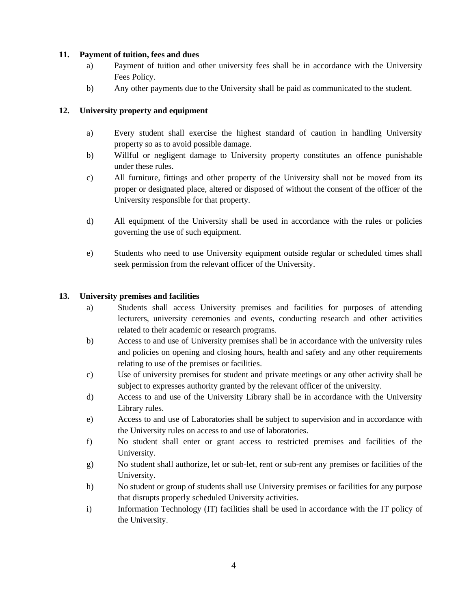#### **11. Payment of tuition, fees and dues**

- a) Payment of tuition and other university fees shall be in accordance with the University Fees Policy.
- b) Any other payments due to the University shall be paid as communicated to the student.

#### **12. University property and equipment**

- a) Every student shall exercise the highest standard of caution in handling University property so as to avoid possible damage.
- b) Willful or negligent damage to University property constitutes an offence punishable under these rules.
- c) All furniture, fittings and other property of the University shall not be moved from its proper or designated place, altered or disposed of without the consent of the officer of the University responsible for that property.
- d) All equipment of the University shall be used in accordance with the rules or policies governing the use of such equipment.
- e) Students who need to use University equipment outside regular or scheduled times shall seek permission from the relevant officer of the University.

#### **13. University premises and facilities**

- a) Students shall access University premises and facilities for purposes of attending lecturers, university ceremonies and events, conducting research and other activities related to their academic or research programs.
- b) Access to and use of University premises shall be in accordance with the university rules and policies on opening and closing hours, health and safety and any other requirements relating to use of the premises or facilities.
- c) Use of university premises for student and private meetings or any other activity shall be subject to expresses authority granted by the relevant officer of the university.
- d) Access to and use of the University Library shall be in accordance with the University Library rules.
- e) Access to and use of Laboratories shall be subject to supervision and in accordance with the University rules on access to and use of laboratories.
- f) No student shall enter or grant access to restricted premises and facilities of the University.
- g) No student shall authorize, let or sub-let, rent or sub-rent any premises or facilities of the University.
- h) No student or group of students shall use University premises or facilities for any purpose that disrupts properly scheduled University activities.
- i) Information Technology (IT) facilities shall be used in accordance with the IT policy of the University.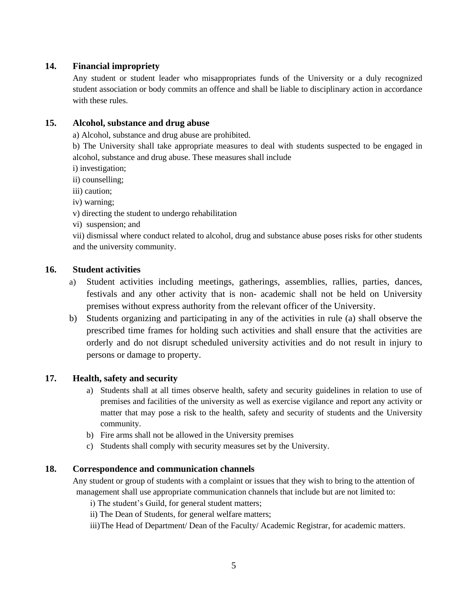## **14. Financial impropriety**

Any student or student leader who misappropriates funds of the University or a duly recognized student association or body commits an offence and shall be liable to disciplinary action in accordance with these rules.

## **15. Alcohol, substance and drug abuse**

a) Alcohol, substance and drug abuse are prohibited.

b) The University shall take appropriate measures to deal with students suspected to be engaged in alcohol, substance and drug abuse. These measures shall include

- i) investigation;
- ii) counselling;
- iii) caution;
- iv) warning;
- v) directing the student to undergo rehabilitation
- vi) suspension; and

vii) dismissal where conduct related to alcohol, drug and substance abuse poses risks for other students and the university community.

## **16. Student activities**

- a) Student activities including meetings, gatherings, assemblies, rallies, parties, dances, festivals and any other activity that is non- academic shall not be held on University premises without express authority from the relevant officer of the University.
- b) Students organizing and participating in any of the activities in rule (a) shall observe the prescribed time frames for holding such activities and shall ensure that the activities are orderly and do not disrupt scheduled university activities and do not result in injury to persons or damage to property.

## **17. Health, safety and security**

- a) Students shall at all times observe health, safety and security guidelines in relation to use of premises and facilities of the university as well as exercise vigilance and report any activity or matter that may pose a risk to the health, safety and security of students and the University community.
- b) Fire arms shall not be allowed in the University premises
- c) Students shall comply with security measures set by the University.

## **18. Correspondence and communication channels**

Any student or group of students with a complaint or issues that they wish to bring to the attention of management shall use appropriate communication channels that include but are not limited to:

- i) The student's Guild, for general student matters;
- ii) The Dean of Students, for general welfare matters;

iii)The Head of Department/ Dean of the Faculty/ Academic Registrar, for academic matters.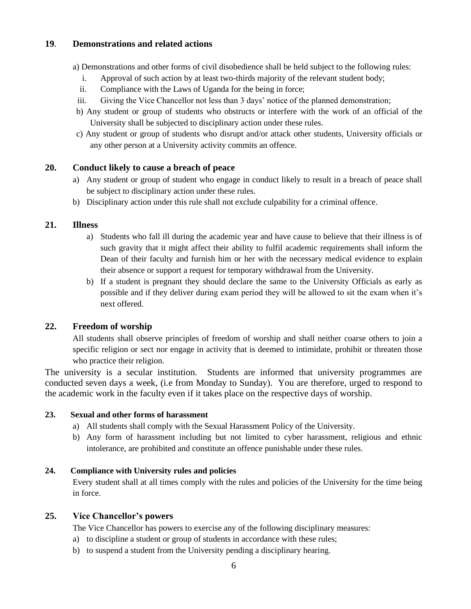## **19**. **Demonstrations and related actions**

a) Demonstrations and other forms of civil disobedience shall be held subject to the following rules:

- i. Approval of such action by at least two-thirds majority of the relevant student body;
- ii. Compliance with the Laws of Uganda for the being in force;
- iii. Giving the Vice Chancellor not less than 3 days' notice of the planned demonstration;
- b) Any student or group of students who obstructs or interfere with the work of an official of the University shall be subjected to disciplinary action under these rules.
- c) Any student or group of students who disrupt and/or attack other students, University officials or any other person at a University activity commits an offence.

## **20. Conduct likely to cause a breach of peace**

- a) Any student or group of student who engage in conduct likely to result in a breach of peace shall be subject to disciplinary action under these rules.
- b) Disciplinary action under this rule shall not exclude culpability for a criminal offence.

## **21. Illness**

- a) Students who fall ill during the academic year and have cause to believe that their illness is of such gravity that it might affect their ability to fulfil academic requirements shall inform the Dean of their faculty and furnish him or her with the necessary medical evidence to explain their absence or support a request for temporary withdrawal from the University.
- b) If a student is pregnant they should declare the same to the University Officials as early as possible and if they deliver during exam period they will be allowed to sit the exam when it's next offered.

# **22. Freedom of worship**

All students shall observe principles of freedom of worship and shall neither coarse others to join a specific religion or sect nor engage in activity that is deemed to intimidate, prohibit or threaten those who practice their religion.

The university is a secular institution. Students are informed that university programmes are conducted seven days a week, (i.e from Monday to Sunday). You are therefore, urged to respond to the academic work in the faculty even if it takes place on the respective days of worship.

## **23. Sexual and other forms of harassment**

- a) All students shall comply with the Sexual Harassment Policy of the University.
- b) Any form of harassment including but not limited to cyber harassment, religious and ethnic intolerance, are prohibited and constitute an offence punishable under these rules.

## **24. Compliance with University rules and policies**

Every student shall at all times comply with the rules and policies of the University for the time being in force.

# **25. Vice Chancellor's powers**

The Vice Chancellor has powers to exercise any of the following disciplinary measures:

- a) to discipline a student or group of students in accordance with these rules;
- b) to suspend a student from the University pending a disciplinary hearing.